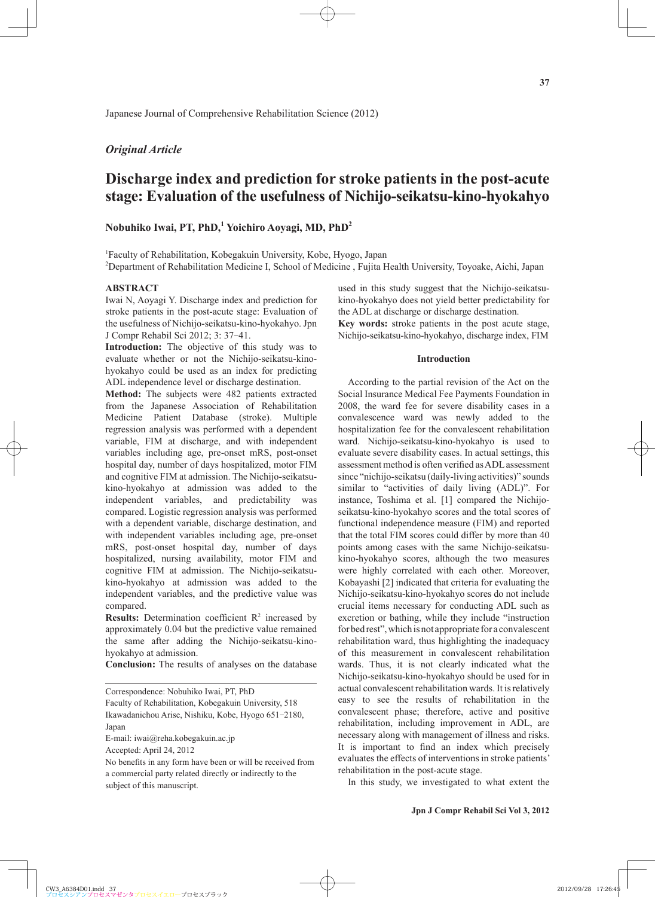## *Original Article*

# **Discharge index and prediction for stroke patients in the post-acute stage: Evaluation of the usefulness of Nichijo-seikatsu-kino-hyokahyo**

# **Nobuhiko Iwai, PT, PhD,<sup>1</sup> Yoichiro Aoyagi, MD, PhD2**

1 Faculty of Rehabilitation, Kobegakuin University, Kobe, Hyogo, Japan 2 Department of Rehabilitation Medicine I, School of Medicine , Fujita Health University, Toyoake, Aichi, Japan

#### **ABSTRACT**

Iwai N, Aoyagi Y. Discharge index and prediction for stroke patients in the post-acute stage: Evaluation of the usefulness of Nichijo-seikatsu-kino-hyokahyo. Jpn J Compr Rehabil Sci 2012; 3: 37-41.

**Introduction:** The objective of this study was to evaluate whether or not the Nichijo-seikatsu-kinohyokahyo could be used as an index for predicting ADL independence level or discharge destination.

**Method:** The subjects were 482 patients extracted from the Japanese Association of Rehabilitation Medicine Patient Database (stroke). Multiple regression analysis was performed with a dependent variable, FIM at discharge, and with independent variables including age, pre-onset mRS, post-onset hospital day, number of days hospitalized, motor FIM and cognitive FIM at admission. The Nichijo-seikatsukino-hyokahyo at admission was added to the independent variables, and predictability was compared. Logistic regression analysis was performed with a dependent variable, discharge destination, and with independent variables including age, pre-onset mRS, post-onset hospital day, number of days hospitalized, nursing availability, motor FIM and cognitive FIM at admission. The Nichijo-seikatsukino-hyokahyo at admission was added to the independent variables, and the predictive value was compared.

**Results:** Determination coefficient  $R^2$  increased by approximately 0.04 but the predictive value remained the same after adding the Nichijo-seikatsu-kinohyokahyo at admission.

**Conclusion:** The results of analyses on the database

Correspondence: Nobuhiko Iwai, PT, PhD

Faculty of Rehabilitation, Kobegakuin University, 518 Ikawadanichou Arise, Nishiku, Kobe, Hyogo 651-2180, Japan

E-mail: iwai@reha.kobegakuin.ac.jp

Accepted: April 24, 2012

No benefits in any form have been or will be received from a commercial party related directly or indirectly to the subject of this manuscript.

used in this study suggest that the Nichijo-seikatsukino-hyokahyo does not yield better predictability for the ADL at discharge or discharge destination.

**Key words:** stroke patients in the post acute stage, Nichijo-seikatsu-kino-hyokahyo, discharge index, FIM

#### **Introduction**

According to the partial revision of the Act on the Social Insurance Medical Fee Payments Foundation in 2008, the ward fee for severe disability cases in a convalescence ward was newly added to the hospitalization fee for the convalescent rehabilitation ward. Nichijo-seikatsu-kino-hyokahyo is used to evaluate severe disability cases. In actual settings, this assessment method is often verified as ADL assessment since "nichijo-seikatsu (daily-living activities)" sounds similar to "activities of daily living (ADL)". For instance, Toshima et al. [1] compared the Nichijoseikatsu-kino-hyokahyo scores and the total scores of functional independence measure (FIM) and reported that the total FIM scores could differ by more than 40 points among cases with the same Nichijo-seikatsukino-hyokahyo scores, although the two measures were highly correlated with each other. Moreover, Kobayashi [2] indicated that criteria for evaluating the Nichijo-seikatsu-kino-hyokahyo scores do not include crucial items necessary for conducting ADL such as excretion or bathing, while they include "instruction for bed rest", which is not appropriate for a convalescent rehabilitation ward, thus highlighting the inadequacy of this measurement in convalescent rehabilitation wards. Thus, it is not clearly indicated what the Nichijo-seikatsu-kino-hyokahyo should be used for in actual convalescent rehabilitation wards. It is relatively easy to see the results of rehabilitation in the convalescent phase; therefore, active and positive rehabilitation, including improvement in ADL, are necessary along with management of illness and risks. It is important to find an index which precisely evaluates the effects of interventions in stroke patients' rehabilitation in the post-acute stage.

In this study, we investigated to what extent the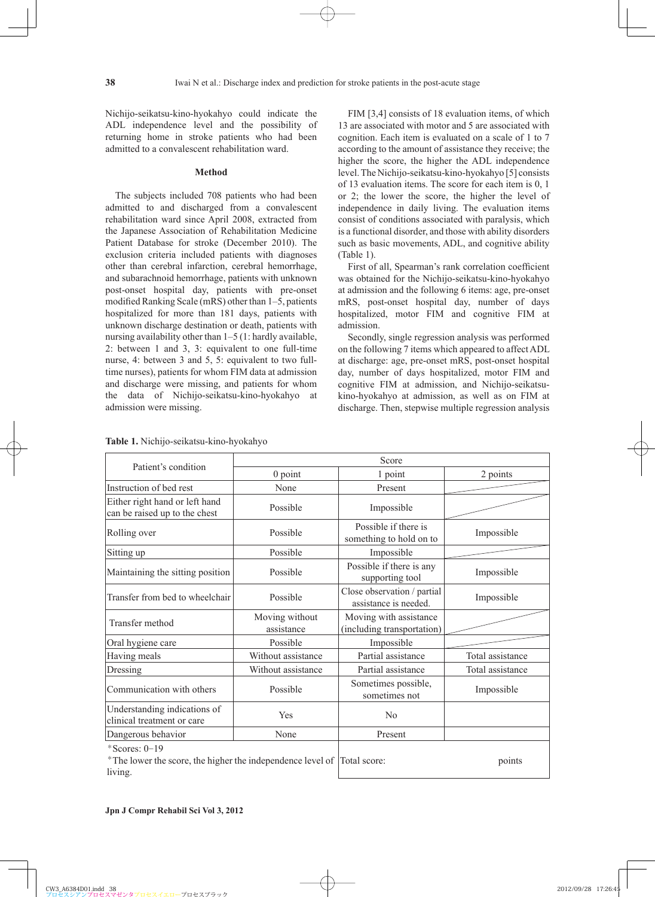Nichijo-seikatsu-kino-hyokahyo could indicate the ADL independence level and the possibility of returning home in stroke patients who had been admitted to a convalescent rehabilitation ward.

#### **Method**

The subjects included 708 patients who had been admitted to and discharged from a convalescent rehabilitation ward since April 2008, extracted from the Japanese Association of Rehabilitation Medicine Patient Database for stroke (December 2010). The exclusion criteria included patients with diagnoses other than cerebral infarction, cerebral hemorrhage, and subarachnoid hemorrhage, patients with unknown post-onset hospital day, patients with pre-onset modified Ranking Scale (mRS) other than  $1-5$ , patients hospitalized for more than 181 days, patients with unknown discharge destination or death, patients with nursing availability other than 1–5 (1: hardly available, 2: between 1 and 3, 3: equivalent to one full-time nurse, 4: between 3 and 5, 5: equivalent to two fulltime nurses), patients for whom FIM data at admission and discharge were missing, and patients for whom the data of Nichijo-seikatsu-kino-hyokahyo at admission were missing.

FIM [3,4] consists of 18 evaluation items, of which 13 are associated with motor and 5 are associated with cognition. Each item is evaluated on a scale of 1 to 7 according to the amount of assistance they receive; the higher the score, the higher the ADL independence level. The Nichijo-seikatsu-kino-hyokahyo [5] consists of 13 evaluation items. The score for each item is 0, 1 or 2; the lower the score, the higher the level of independence in daily living. The evaluation items consist of conditions associated with paralysis, which is a functional disorder, and those with ability disorders such as basic movements, ADL, and cognitive ability (Table 1).

First of all, Spearman's rank correlation coefficient was obtained for the Nichijo-seikatsu-kino-hyokahyo at admission and the following 6 items: age, pre-onset mRS, post-onset hospital day, number of days hospitalized, motor FIM and cognitive FIM at admission.

Secondly, single regression analysis was performed on the following 7 items which appeared to affect ADL at discharge: age, pre-onset mRS, post-onset hospital day, number of days hospitalized, motor FIM and cognitive FIM at admission, and Nichijo-seikatsukino-hyokahyo at admission, as well as on FIM at discharge. Then, stepwise multiple regression analysis

| Patient's condition                                                                        | Score                        |                                                      |                  |  |  |
|--------------------------------------------------------------------------------------------|------------------------------|------------------------------------------------------|------------------|--|--|
|                                                                                            | $0$ point                    | 1 point                                              | 2 points         |  |  |
| Instruction of bed rest                                                                    | None                         | Present                                              |                  |  |  |
| Either right hand or left hand<br>can be raised up to the chest                            | Possible                     | Impossible                                           |                  |  |  |
| Rolling over                                                                               | Possible                     | Possible if there is<br>something to hold on to      | Impossible       |  |  |
| Sitting up                                                                                 | Possible                     | Impossible                                           |                  |  |  |
| Maintaining the sitting position                                                           | Possible                     | Possible if there is any<br>supporting tool          | Impossible       |  |  |
| Transfer from bed to wheelchair                                                            | Possible                     | Close observation / partial<br>assistance is needed. | Impossible       |  |  |
| Transfer method                                                                            | Moving without<br>assistance | Moving with assistance<br>(including transportation) |                  |  |  |
| Oral hygiene care                                                                          | Possible                     | Impossible                                           |                  |  |  |
| Having meals                                                                               | Without assistance           | Partial assistance                                   | Total assistance |  |  |
| Dressing                                                                                   | Without assistance           | Partial assistance                                   | Total assistance |  |  |
| Communication with others                                                                  | Possible                     | Sometimes possible,<br>sometimes not                 | Impossible       |  |  |
| Understanding indications of<br>clinical treatment or care                                 | Yes                          | N <sub>0</sub>                                       |                  |  |  |
| Dangerous behavior                                                                         | None                         | Present                                              |                  |  |  |
| *Scores: $0-19$<br>*The lower the score, the higher the independence level of Total score: |                              |                                                      | points           |  |  |

**Table 1.** Nichijo-seikatsu-kino-hyokahyo

living.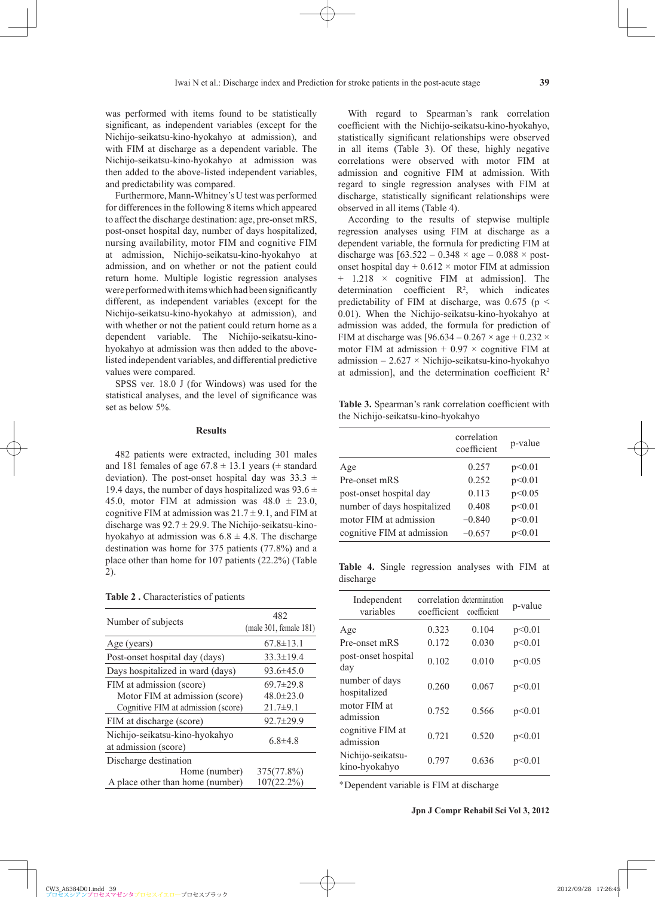was performed with items found to be statistically significant, as independent variables (except for the Nichijo-seikatsu-kino-hyokahyo at admission), and with FIM at discharge as a dependent variable. The Nichijo-seikatsu-kino-hyokahyo at admission was then added to the above-listed independent variables, and predictability was compared.

Furthermore, Mann-Whitney's U test was performed for differences in the following 8 items which appeared to affect the discharge destination: age, pre-onset mRS, post-onset hospital day, number of days hospitalized, nursing availability, motor FIM and cognitive FIM at admission, Nichijo-seikatsu-kino-hyokahyo at admission, and on whether or not the patient could return home. Multiple logistic regression analyses were performed with items which had been significantly different, as independent variables (except for the Nichijo-seikatsu-kino-hyokahyo at admission), and with whether or not the patient could return home as a dependent variable. The Nichijo-seikatsu-kinohyokahyo at admission was then added to the abovelisted independent variables, and differential predictive values were compared.

SPSS ver. 18.0 J (for Windows) was used for the statistical analyses, and the level of significance was set as below 5%.

#### **Results**

482 patients were extracted, including 301 males and 181 females of age  $67.8 \pm 13.1$  years ( $\pm$  standard deviation). The post-onset hospital day was  $33.3 \pm$ 19.4 days, the number of days hospitalized was  $93.6 \pm$ 45.0, motor FIM at admission was  $48.0 \pm 23.0$ , cognitive FIM at admission was  $21.7 \pm 9.1$ , and FIM at discharge was  $92.7 \pm 29.9$ . The Nichijo-seikatsu-kinohyokahyo at admission was  $6.8 \pm 4.8$ . The discharge destination was home for 375 patients (77.8%) and a place other than home for 107 patients (22.2%) (Table 2).

**Table 2 .** Characteristics of patients

| Number of subjects                                     | 482<br>(male 301, female 181) |
|--------------------------------------------------------|-------------------------------|
| Age (years)                                            | $67.8 \pm 13.1$               |
| Post-onset hospital day (days)                         | $33.3 \pm 19.4$               |
| Days hospitalized in ward (days)                       | $93.6 \pm 45.0$               |
| FIM at admission (score)                               | $69.7 \pm 29.8$               |
| Motor FIM at admission (score)                         | $48.0 \pm 23.0$               |
| Cognitive FIM at admission (score)                     | $21.7+9.1$                    |
| FIM at discharge (score)                               | $92.7 \pm 29.9$               |
| Nichijo-seikatsu-kino-hyokahyo<br>at admission (score) | $6.8{\pm}4.8$                 |
| Discharge destination                                  |                               |
| Home (number)                                          | 375(77.8%)                    |
| A place other than home (number)                       | $107(22.2\%)$                 |

With regard to Spearman's rank correlation coefficient with the Nichijo-seikatsu-kino-hyokahyo, statistically significant relationships were observed in all items (Table 3). Of these, highly negative correlations were observed with motor FIM at admission and cognitive FIM at admission. With regard to single regression analyses with FIM at discharge, statistically significant relationships were observed in all items (Table 4).

According to the results of stepwise multiple regression analyses using FIM at discharge as a dependent variable, the formula for predicting FIM at discharge was  $[63.522 - 0.348 \times age - 0.088 \times post$ onset hospital day  $+ 0.612 \times$  motor FIM at admission  $+$  1.218  $\times$  cognitive FIM at admission]. The determination coefficient  $R^2$ , which indicates predictability of FIM at discharge, was 0.675 ( $p \le$ 0.01). When the Nichijo-seikatsu-kino-hyokahyo at admission was added, the formula for prediction of FIM at discharge was  $[96.634 - 0.267 \times \text{age} + 0.232 \times$ motor FIM at admission  $+ 0.97 \times$  cognitive FIM at admission  $-2.627 \times$  Nichijo-seikatsu-kino-hyokahyo at admission], and the determination coefficient  $R^2$ 

Table 3. Spearman's rank correlation coefficient with the Nichijo-seikatsu-kino-hyokahyo

|                             | correlation<br>coefficient | p-value |
|-----------------------------|----------------------------|---------|
| Age                         | 0.257                      | p<0.01  |
| Pre-onset mRS               | 0.252                      | p<0.01  |
| post-onset hospital day     | 0.113                      | p<0.05  |
| number of days hospitalized | 0.408                      | p<0.01  |
| motor FIM at admission      | $-0.840$                   | p<0.01  |
| cognitive FIM at admission  | $-0.657$                   | p<0.01  |

**Table 4.** Single regression analyses with FIM at discharge

| Independent<br>variables           | correlation determination<br>coefficient coefficient |       | p-value |
|------------------------------------|------------------------------------------------------|-------|---------|
| Age                                | 0.323                                                | 0.104 | p<0.01  |
| Pre-onset mRS                      | 0 1 7 2                                              | 0.030 | p<0.01  |
| post-onset hospital<br>day         | 0.102                                                | 0.010 | p<0.05  |
| number of days<br>hospitalized     | 0.260                                                | 0.067 | p<0.01  |
| motor FIM at<br>admission          | 0.752                                                | 0.566 | p<0.01  |
| cognitive FIM at<br>admission      | 0.721                                                | 0.520 | p<0.01  |
| Nichijo-seikatsu-<br>kino-hyokahyo | 0.797                                                | 0.636 | p<0.01  |

\*Dependent variable is FIM at discharge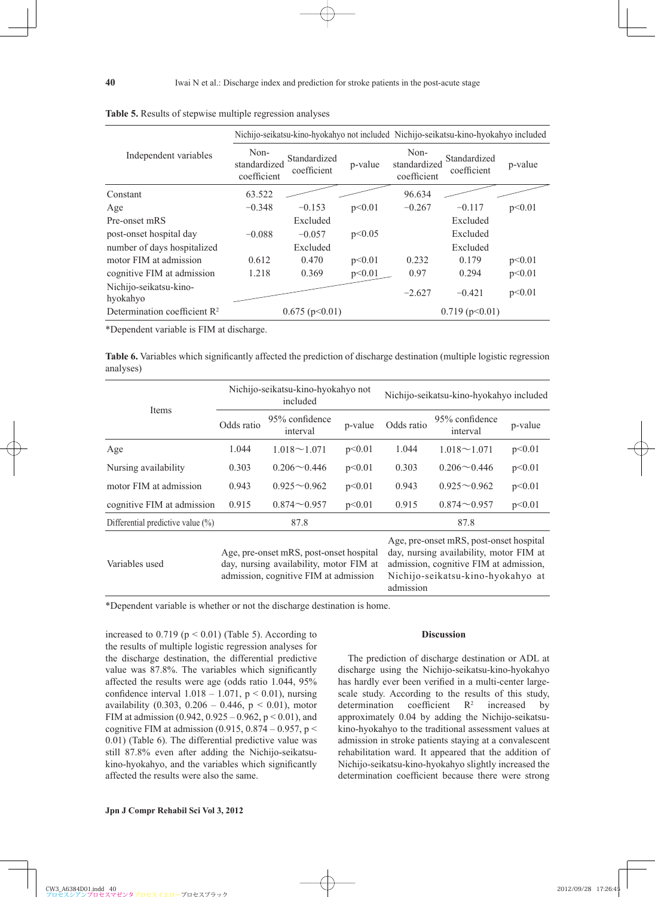|                                          |                                     |                             |         | Nichijo-seikatsu-kino-hyokahyo not included Nichijo-seikatsu-kino-hyokahyo included |                             |         |
|------------------------------------------|-------------------------------------|-----------------------------|---------|-------------------------------------------------------------------------------------|-----------------------------|---------|
| Independent variables                    | Non-<br>standardized<br>coefficient | Standardized<br>coefficient | p-value | Non-<br>standardized<br>coefficient                                                 | Standardized<br>coefficient | p-value |
| Constant                                 | 63.522                              |                             |         | 96.634                                                                              |                             |         |
| Age                                      | $-0.348$                            | $-0.153$                    | p<0.01  | $-0.267$                                                                            | $-0.117$                    | p<0.01  |
| Pre-onset mRS                            |                                     | Excluded                    |         |                                                                                     | Excluded                    |         |
| post-onset hospital day                  | $-0.088$                            | $-0.057$                    | p<0.05  |                                                                                     | Excluded                    |         |
| number of days hospitalized              |                                     | Excluded                    |         |                                                                                     | Excluded                    |         |
| motor FIM at admission                   | 0.612                               | 0.470                       | p<0.01  | 0.232                                                                               | 0.179                       | p<0.01  |
| cognitive FIM at admission               | 1.218                               | 0.369                       | p<0.01  | 0.97                                                                                | 0.294                       | p<0.01  |
| Nichijo-seikatsu-kino-<br>hyokahyo       |                                     |                             |         | $-2.627$                                                                            | $-0.421$                    | p<0.01  |
| Determination coefficient $\mathbb{R}^2$ |                                     | $0.675$ (p $0.01$ )         |         |                                                                                     | 0.719 (p<0.01)              |         |

**Table 5.** Results of stepwise multiple regression analyses

\*Dependent variable is FIM at discharge.

**Table 6.** Variables which significantly affected the prediction of discharge destination (multiple logistic regression analyses)

| <b>Items</b>                          | Nichijo-seikatsu-kino-hyokahyo not<br>included                                                                              |                            |           | Nichijo-seikatsu-kino-hyokahyo included                                                                                                                           |                            |         |
|---------------------------------------|-----------------------------------------------------------------------------------------------------------------------------|----------------------------|-----------|-------------------------------------------------------------------------------------------------------------------------------------------------------------------|----------------------------|---------|
|                                       | Odds ratio                                                                                                                  | 95% confidence<br>interval | p-value   | Odds ratio                                                                                                                                                        | 95% confidence<br>interval | p-value |
| Age                                   | 1.044                                                                                                                       | $1.018 \sim 1.071$         | p<0.01    | 1.044                                                                                                                                                             | $1.018 \sim 1.071$         | p<0.01  |
| Nursing availability                  | 0.303                                                                                                                       | $0.206 \sim 0.446$         | p<0.01    | 0.303                                                                                                                                                             | $0.206 \sim 0.446$         | p<0.01  |
| motor FIM at admission                | 0.943                                                                                                                       | $0.925 \sim 0.962$         | p<0.01    | 0.943                                                                                                                                                             | $0.925 \sim 0.962$         | p<0.01  |
| cognitive FIM at admission            | 0.915                                                                                                                       | $0.874 - 0.957$            | p<0.01    | 0.915                                                                                                                                                             | $0.874\sim 0.957$          | p<0.01  |
| Differential predictive value $(\% )$ |                                                                                                                             | 87.8                       |           |                                                                                                                                                                   | 87.8                       |         |
| Variables used                        | Age, pre-onset mRS, post-onset hospital<br>day, nursing availability, motor FIM at<br>admission, cognitive FIM at admission |                            | admission | Age, pre-onset mRS, post-onset hospital<br>day, nursing availability, motor FIM at<br>admission, cognitive FIM at admission,<br>Nichijo-seikatsu-kino-hyokahyo at |                            |         |

\*Dependent variable is whether or not the discharge destination is home.

increased to  $0.719$  ( $p < 0.01$ ) (Table 5). According to the results of multiple logistic regression analyses for the discharge destination, the differential predictive value was 87.8%. The variables which significantly affected the results were age (odds ratio 1.044, 95% confidence interval  $1.018 - 1.071$ ,  $p < 0.01$ ), nursing availability (0.303, 0.206 – 0.446,  $p < 0.01$ ), motor FIM at admission (0.942, 0.925 – 0.962,  $p < 0.01$ ), and cognitive FIM at admission  $(0.915, 0.874 - 0.957, p <$ 0.01) (Table 6). The differential predictive value was still 87.8% even after adding the Nichijo-seikatsukino-hyokahyo, and the variables which significantly affected the results were also the same.

## **Discussion**

The prediction of discharge destination or ADL at discharge using the Nichijo-seikatsu-kino-hyokahyo has hardly ever been verified in a multi-center largescale study. According to the results of this study, determination coefficient  $R^2$  increased by approximately 0.04 by adding the Nichijo-seikatsukino-hyokahyo to the traditional assessment values at admission in stroke patients staying at a convalescent rehabilitation ward. It appeared that the addition of Nichijo-seikatsu-kino-hyokahyo slightly increased the determination coefficient because there were strong